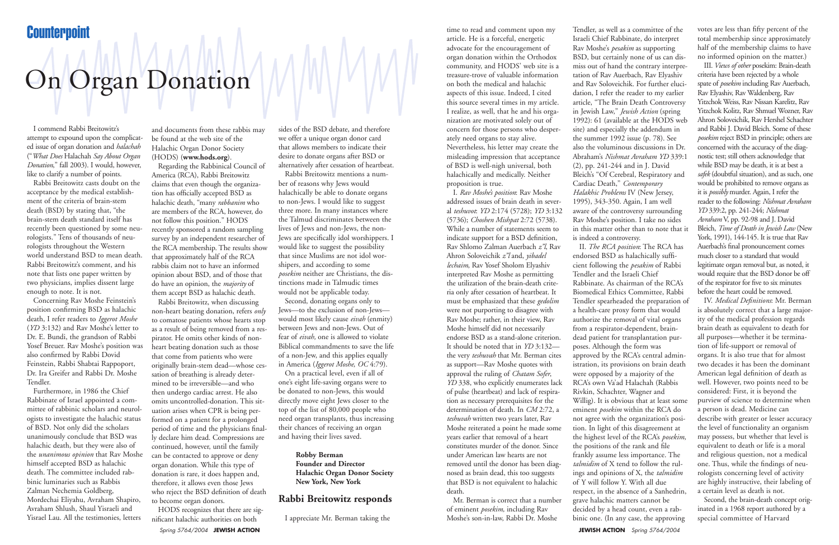Spring 5764/2004 **JEWISH ACTION JEWISH ACTION** Spring 5764/2004

## On Organ Donation

I commend Rabbi Breitowitz's attempt to expound upon the complicated issue of organ donation and *halachah* ("*What Does* Halachah *Say About Organ Donation*," fall 2003). I would, however, like to clarify a number of points.

Rabbi Breitowitz casts doubt on the acceptance by the medical establishment of the criteria of brain-stem death (BSD) by stating that, "the brain-stem death standard itself has recently been questioned by some neurologists." Tens of thousands of neurologists throughout the Western world understand BSD to mean death. Rabbi Breitowitz's comment, and his note that lists one paper written by two physicians, implies dissent large enough to note. It is not.

Concerning Rav Moshe Feinstein's position confirming BSD as halachic death, I refer readers to *Iggerot Moshe* (*YD* 3:132) and Rav Moshe's letter to Dr. E. Bundi, the grandson of Rabbi Yosef Breuer. Rav Moshe's position was also confirmed by Rabbi Dovid Feinstein, Rabbi Shabtai Rappoport, Dr. Ira Greifer and Rabbi Dr. Moshe Tendler.

Furthermore, in 1986 the Chief Rabbinate of Israel appointed a committee of rabbinic scholars and neurologists to investigate the halachic status of BSD. Not only did the scholars unanimously conclude that BSD was halachic death, but they were also of the *unanimous opinion* that Rav Moshe himself accepted BSD as halachic death. The committee included rabbinic luminaries such as Rabbis Zalman Nechemia Goldberg, Mordechai Eliyahu, Avraham Shapiro, Avraham Shlush, Shaul Yisraeli and Yisrael Lau. All the testimonies, letters

and documents from these rabbis may be found at the web site of the Halachic Organ Donor Society (HODS) (**www.hods.org**).

Regarding the Rabbinical Council of America (RCA), Rabbi Breitowitz claims that even though the organization has officially accepted BSD as halachic death, "many *rabbanim* who are members of the RCA, however, do not follow this position." HODS recently sponsored a random sampling survey by an independent researcher of the RCA membership. The results show that approximately half of the RCA rabbis claim not to have an informed opinion about BSD, and of those that do have an opinion, the *majority* of them accept BSD as halachic death.

Rabbi Breitowitz, when discussing non-heart beating donation, refers *only* to comatose patients whose hearts stop as a result of being removed from a respirator. He omits other kinds of nonheart beating donation such as those that come from patients who were originally brain-stem dead—whose cessation of breathing is already determined to be irreversible—and who then undergo cardiac arrest. He also omits uncontrolled-donation. This situation arises when CPR is being performed on a patient for a prolonged period of time and the physicians finally declare him dead. Compressions are continued, however, until the family can be contacted to approve or deny organ donation. While this type of donation is rare, it does happen and, therefore, it allows even those Jews who reject the BSD definition of death to become organ donors.

HODS recognizes that there are significant halachic authorities on both

sides of the BSD debate, and therefore we offer a unique organ donor card that allows members to indicate their desire to donate organs after BSD or alternatively after cessation of heartbeat.

Rabbi Breitowitz mentions a number of reasons why Jews would halachically be able to donate organs to non-Jews. I would like to suggest three more. In many instances where the Talmud discriminates between the lives of Jews and non-Jews, the non-Jews are specifically idol worshippers. I would like to suggest the possibility that since Muslims are not idol worshipers, and according to some *posekim* neither are Christians, the distinctions made in Talmudic times would not be applicable today.

Second, donating organs only to Jews—to the exclusion of non-Jews would most likely cause *eivah* (enmity) between Jews and non-Jews. Out of fear of *eivah,* one is allowed to violate Biblical commandments to save the life of a non-Jew, and this applies equally in America (*Iggerot Moshe*, *OC* 4:79).

On a practical level, even if all of one's eight life-saving organs were to be donated to non-Jews, this would directly move eight Jews closer to the top of the list of 80,000 people who need organ transplants, thus increasing their chances of receiving an organ and having their lives saved.

> **Robby Berman Founder and Director Halachic Organ Donor Society New York, New York**

## **Rabbi Breitowitz responds**

I appreciate Mr. Berman taking the

time to read and comment upon my article. He is a forceful, energetic advocate for the encouragement of organ donation within the Orthodox community, and HODS' web site is a treasure-trove of valuable information on both the medical and halachic aspects of this issue. Indeed, I cited this source several times in my article. I realize, as well, that he and his organization are motivated solely out of concern for those persons who desperately need organs to stay alive. Nevertheless, his letter may create the misleading impression that acceptance of BSD is well-nigh universal, both halachically and medically. Neither proposition is true.

I. *Rav Moshe's position*: Rav Moshe addressed issues of brain death in several *teshuvot*: *YD* 2:174 (5728); *YD* 3:132 (5736); *Choshen Mishpat* 2:72 (5738). While a number of statements seem to indicate support for a BSD definition, Rav Shlomo Zalman Auerbach *z"l*, Rav Ahron Soloveichik *z"l* and, *yibadel lechaim*, Rav Yosef Sholom Elyashiv interpreted Rav Moshe as permitting the utilization of the brain-death criteria only after cessation of heartbeat. It must be emphasized that these *gedolim* were not purporting to disagree with Rav Moshe; rather, in their view, Rav Moshe himself did not necessarily endorse BSD as a stand-alone criterion. It should be noted that in *YD* 3:132 the very *teshuvah* that Mr. Berman cites as support—Rav Moshe quotes with approval the ruling of *Chatam Sofer*, *YD* 338, who explicitly enumerates lack of pulse (heartbeat) and lack of respiration as necessary prerequisites for the determination of death. In *CM* 2:72, a *teshuvah* written two years later, Rav Moshe reiterated a point he made some years earlier that removal of a heart constitutes murder of the donor. Since under American law hearts are not removed until the donor has been diagnosed as brain dead, this too suggests that BSD is not equivalent to halachic death.

Mr. Berman is correct that a number of eminent *posekim,* including Rav Moshe's son-in-law, Rabbi Dr. Moshe

votes are less than fifty percent of the total membership since approximately half of the membership claims to have no informed opinion on the matter.)

III. *Views of other* posekim: Brain-death criteria have been rejected by a whole spate of *posekim* including Rav Auerbach, Rav Elyashiv, Rav Waldenberg, Rav Yitzchok Weiss, Rav Nissan Karelitz, Rav Yitzchok Kolitz, Rav Shmuel Wozner, Rav Ahron Soloveichik, Rav Hershel Schachter and Rabbi J. David Bleich. Some of these *posekim* reject BSD in principle; others are concerned with the accuracy of the diagnostic test; still others acknowledge that while BSD may be death, it is at best a *safek* (doubtful situation), and as such, one would be prohibited to remove organs as it is *possibly* murder. Again, I refer the reader to the following: *Nishmat Avraham YD* 339:2, pp. 241-244; *Nishmat Avraham* V, pp. 92-98 and J. David Bleich, *Time of Death in Jewish Law* (New York, 1991), 144-145. It is true that Rav Auerbach's final pronouncement comes much closer to a standard that would legitimate organ removal but, as noted, it would require that the BSD donor be off of the respirator for five to six minutes before the heart could be removed.

IV. *Medical Definitions*: Mr. Berman is absolutely correct that a large majority of the medical profession regards brain death as equivalent to death for all purposes—whether it be termination of life-support or removal of organs. It is also true that for almost two decades it has been the dominant American legal definition of death as well. However, two points need to be considered: First, it is beyond the purview of science to determine when a person is dead. Medicine can describe with greater or lesser accuracy the level of functionality an organism may possess, but whether that level is equivalent to death or life is a moral and religious question, not a medical one. Thus, while the findings of neurologists concerning level of activity are highly instructive, their labeling of a certain level as death is not.

Second, the brain-death concept originated in a 1968 report authored by a special committee of Harvard

Tendler, as well as a committee of the Israeli Chief Rabbinate, do interpret Rav Moshe's *pesakim* as supporting BSD, but certainly none of us can dismiss out of hand the contrary interpretation of Rav Auerbach, Rav Elyashiv and Rav Soloveichik. For further elucidation, I refer the reader to my earlier article, "The Brain Death Controversy in Jewish Law," *Jewish Action* (spring 1992): 61 (available at the HODS web site) and especially the addendum in the summer 1992 issue (p. 78). See also the voluminous discussions in Dr. Abraham's *Nishmat Avraham YD* 339:1 (2), pp. 241-244 and in J. David Bleich's "Of Cerebral, Respiratory and Cardiac Death," *Contemporary Halakhic Problems* IV (New Jersey, 1995), 343-350. Again, I am well aware of the controversy surrounding Rav Moshe's position. I take no sides in this matter other than to note that it is indeed a controversy. II. *The RCA position*: The RCA has

endorsed BSD as halachically sufficient following the *pesakim* of Rabbi Tendler and the Israeli Chief Rabbinate. As chairman of the RCA's Biomedical Ethics Committee, Rabbi Tendler spearheaded the preparation of a health-care proxy form that would authorize the removal of vital organs from a respirator-dependent, braindead patient for transplantation purposes. Although the form was approved by the RCA's central administration, its provisions on brain death were opposed by a majority of the RCA's own Va'ad Halachah (Rabbis Rivkin, Schachter, Wagner and Willig). It is obvious that at least some eminent *posekim* within the RCA do not agree with the organization's position. In light of this disagreement at the highest level of the RCA's *posekim*, the positions of the rank and file frankly assume less importance. The *talmidim* of X tend to follow the rulings and opinions of X, the *talmidim* of Y will follow Y. With all due respect, in the absence of a Sanhedrin, grave halachic matters cannot be decided by a head count, even a rabbinic one. (In any case, the approving